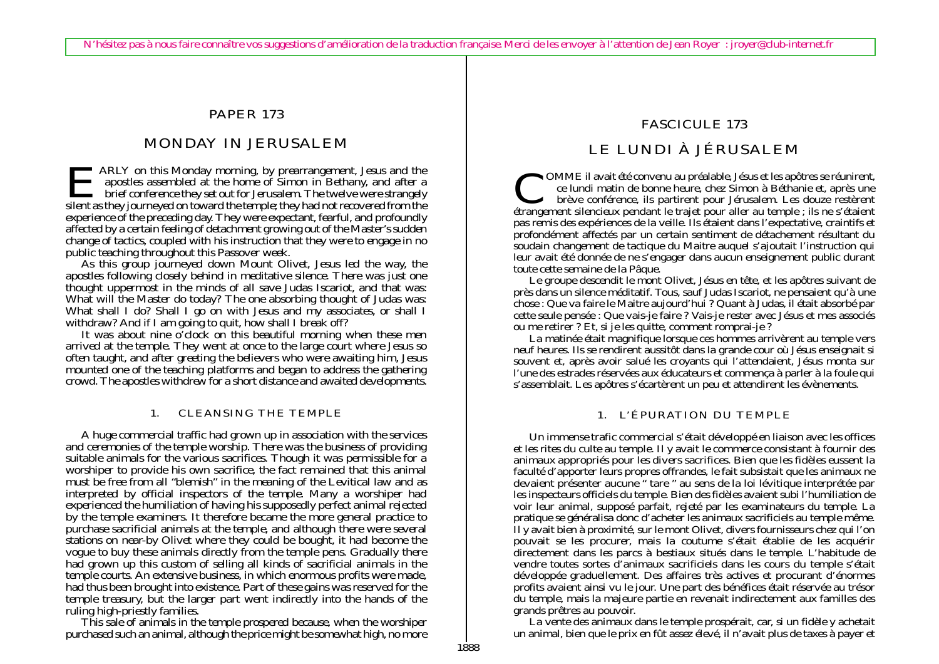## PAPER 173

# MONDAY IN JERUSALEM

EARLY on this Monday morning, by prearrangement, Jesus and the apostles assembled at the home of Simon in Bethany, and after a brief conference they set out for Jerusalem. The twelve were strangely silent as they journeyed on toward the temple; they had not recovered from the experience of the preceding day. They were expectant, fearful, and profoundly affected by a certain feeling of detachment growing out of the Master's sudden change of tactics, coupled with his instruction that they were to engage in no public teaching throughout this Passover week.

As this group journeyed down Mount Olivet, Jesus led the way, the apostles following closely behind in meditative silence. There was just one thought uppermost in the minds of all save Judas Iscariot, and that was: What will the Master do today? The one absorbing thought of Judas was: What shall I do? Shall I go on with Jesus and my associates, or shall I withdraw? And if I am going to quit, how shall I break off?

It was about nine o'clock on this beautiful morning when these men arrived at the temple. They went at once to the large court where Jesus so often taught, and after greeting the believers who were awaiting him, Jesus mounted one of the teaching platforms and began to address the gathering crowd. The apostles withdrew for a short distance and awaited developments.

### 1. CLEANSING THE TEMPLE

A huge commercial traffic had grown up in association with the services and ceremonies of the temple worship. There was the business of providing suitable animals for the various sacrifices. Though it was permissible for a worshiper to provide his own sacrifice, the fact remained that this animal must be free from all "blemish" in the meaning of the Levitical law and as interpreted by official inspectors of the temple. Many a worshiper had experienced the humiliation of having his supposedly perfect animal rejected by the temple examiners. It therefore became the more general practice to purchase sacrificial animals at the temple, and although there were several stations on near-by Olivet where they could be bought, it had become the vogue to buy these animals directly from the temple pens. Gradually there had grown up this custom of selling all kinds of sacrificial animals in the temple courts. An extensive business, in which enormous profits were made, had thus been brought into existence. Part of these gains was reserved for the temple treasury, but the larger part went indirectly into the hands of the ruling high-priestly families.

This sale of animals in the temple prospered because, when the worshiper purchased such an animal, although the price might be somewhat high, no more

# FASCICULE 173 LE LUNDI À JÉRUSALEM

COMME il avait été convenu au préalable, Jésus et les apôtres se réunirent, ce lundi matin de bonne heure, chez Simon à Béthanie et, après une brève conférence, ils partirent pour Jérusalem. Les douze restèrent étrangement silencieux pendant le trajet pour aller au temple ; ils ne s'étaient pas remis des expériences de la veille. Ils étaient dans l'expectative, craintifs et profondément affectés par un certain sentiment de détachement résultant du soudain changement de tactique du Maitre auquel s'ajoutait l'instruction qui leur avait été donnée de ne s'engager dans aucun enseignement public durant toute cette semaine de la Pâque.

Le groupe descendit le mont Olivet, Jésus en tête, et les apôtres suivant de près dans un silence méditatif. Tous, sauf Judas Iscariot, ne pensaient qu'à une chose : Que va faire le Maitre aujourd'hui ? Quant à Judas, il était absorbé par cette seule pensée : Que vais-je faire ? Vais-je rester avec Jésus et mes associés ou me retirer ? Et, si je les quitte, comment romprai-je ?

La matinée était magnifique lorsque ces hommes arrivèrent au temple vers neuf heures. Ils se rendirent aussitôt dans la grande cour où Jésus enseignait si souvent et, après avoir salué les croyants qui l'attendaient, Jésus monta sur l'une des estrades réservées aux éducateurs et commença à parler à la foule qui <sup>s</sup>'assemblait. Les apôtres s'écartèrent un peu et attendirent les évènements.

### 1. L'ÉPURATION DU TEMPLE

Un immense trafic commercial s'était développé en liaison avec les offices et les rites du culte au temple. Il y avait le commerce consistant à fournir des animaux appropriés pour les divers sacrifices. Bien que les fidèles eussent la faculté d'apporter leurs propres offrandes, le fait subsistait que les animaux ne devaient présenter aucune " tare " au sens de la loi lévitique interprétée par les inspecteurs officiels du temple. Bien des fidèles avaient subi l'humiliation de voir leur animal, supposé parfait, rejeté par les examinateurs du temple. La pratique se généralisa donc d'acheter les animaux sacrificiels au temple même. Il y avait bien à proximité, sur le mont Olivet, divers fournisseurs chez qui l'on pouvait se les procurer, mais la coutume s'était établie de les acquérir directement dans les parcs à bestiaux situés dans le temple. L'habitude de vendre toutes sortes d'animaux sacrificiels dans les cours du temple s'était développée graduellement. Des affaires très actives et procurant d'énormes profits avaient ainsi vu le jour. Une part des bénéfices était réservée au trésor du temple, mais la majeure partie en revenait indirectement aux familles des grands prêtres au pouvoir.

La vente des animaux dans le temple prospérait, car, si un fidèle y achetait un animal, bien que le prix en fût assez élevé, il n'avait plus de taxes à payer et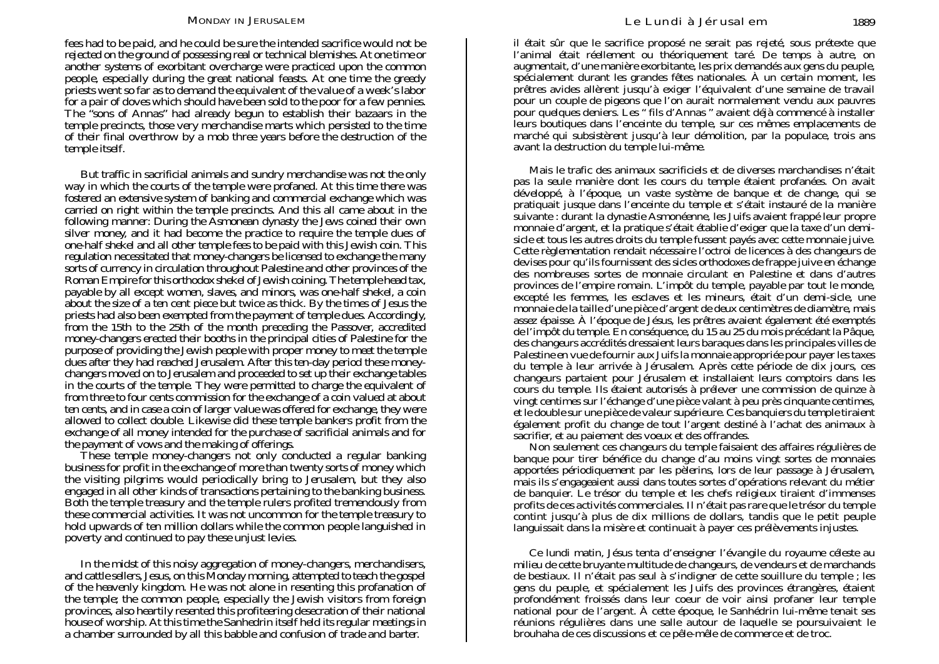fees had to be paid, and he could be sure the intended sacrifice would not be rejected on the ground of possessing real or technical blemishes. At one time or another systems of exorbitant overcharge were practiced upon the common people, especially during the great national feasts. At one time the greedy priests went so far as to demand the equivalent of the value of a week's labor for a pair of doves which should have been sold to the poor for a few pennies. The "sons of Annas" had already begun to establish their bazaars in the temple precincts, those very merchandise marts which persisted to the time of their final overthrow by a mob three years before the destruction of the temple itself.

But traffic in sacrificial animals and sundry merchandise was not the only way in which the courts of the temple were profaned. At this time there was fostered an extensive system of banking and commercial exchange which was carried on right within the temple precincts. And this all came about in the following manner: During the Asmonean dynasty the Jews coined their own silver money, and it had become the practice to require the temple dues of one-half shekel and all other temple fees to be paid with this Jewish coin. This regulation necessitated that money-changers be licensed to exchange the many sorts of currency in circulation throughout Palestine and other provinces of the Roman Empire for this orthodox shekel of Jewish coining. The temple head tax, payable by all except women, slaves, and minors, was one-half shekel, a coin about the size of a ten cent piece but twice as thick. By the times of Jesus the priests had also been exempted from the payment of temple dues. Accordingly, from the 15th to the 25th of the month preceding the Passover, accredited money-changers erected their booths in the principal cities of Palestine for the purpose of providing the Jewish people with proper money to meet the temple dues after they had reached Jerusalem. After this ten-day period these moneychangers moved on to Jerusalem and proceeded to set up their exchange tables in the courts of the temple. They were permitted to charge the equivalent of from three to four cents commission for the exchange of a coin valued at about ten cents, and in case a coin of larger value was offered for exchange, they were allowed to collect double. Likewise did these temple bankers profit from the exchange of all money intended for the purchase of sacrificial animals and for the payment of vows and the making of offerings.

These temple money-changers not only conducted a regular banking business for profit in the exchange of more than twenty sorts of money which the visiting pilgrims would periodically bring to Jerusalem, but they also engaged in all other kinds of transactions pertaining to the banking business. Both the temple treasury and the temple rulers profited tremendously from these commercial activities. It was not uncommon for the temple treasury to hold upwards of ten million dollars while the common people languished in poverty and continued to pay these unjust levies.

In the midst of this noisy aggregation of money-changers, merchandisers, and cattle sellers, Jesus, on this Monday morning, attempted to teach the gospel of the heavenly kingdom. He was not alone in resenting this profanation of the temple; the common people, especially the Jewish visitors from foreign provinces, also heartily resented this profiteering desecration of their national house of worship. At this time the Sanhedrin itself held its regular meetings in a chamber surrounded by all this babble and confusion of trade and barter.

il était sûr que le sacrifice proposé ne serait pas rejeté, sous prétexte que l'animal était réellement ou théoriquement taré. De temps à autre, on augmentait, d'une manière exorbitante, les prix demandés aux gens du peuple, spécialement durant les grandes fêtes nationales. À un certain moment, les prêtres avides allèrent jusqu'à exiger l'équivalent d'une semaine de travail pour un couple de pigeons que l'on aurait normalement vendu aux pauvres pour quelques deniers. Les " fils d'Annas " avaient déjà commencé à installer leurs boutiques dans l'enceinte du temple, sur ces mêmes emplacements de marché qui subsistèrent jusqu'à leur démolition, par la populace, trois ans avant la destruction du temple lui-même.

Mais le trafic des animaux sacrificiels et de diverses marchandises n'était pas la seule manière dont les cours du temple étaient profanées. On avait développé, à l'époque, un vaste système de banque et de change, qui se pratiquait jusque dans l'enceinte du temple et s'était instauré de la manière suivante : durant la dynastie Asmonéenne, les Juifs avaient frappé leur propre monnaie d'argent, et la pratique s'était établie d'exiger que la taxe d'un demisicle et tous les autres droits du temple fussent payés avec cette monnaie juive. Cette règlementation rendait nécessaire l'octroi de licences à des changeurs de devises pour qu'ils fournissent des sicles orthodoxes de frappe juive en échange des nombreuses sortes de monnaie circulant en Palestine et dans d'autres provinces de l'empire romain. L'impôt du temple, payable par tout le monde, excepté les femmes, les esclaves et les mineurs, était d'un demi-sicle, une monnaie de la taille d'une pièce d'argent de deux centimètres de diamètre, mais assez épaisse. À l'époque de Jésus, les prêtres avaient également été exemptés de l'impôt du temple. En conséquence, du 15 au 25 du mois précédant la Pâque, des changeurs accrédités dressaient leurs baraques dans les principales villes de Palestine en vue de fournir aux Juifs la monnaie appropriée pour payer les taxes du temple à leur arrivée à Jérusalem. Après cette période de dix jours, ces changeurs partaient pour Jérusalem et installaient leurs comptoirs dans les cours du temple. Ils étaient autorisés à prélever une commission de quinze à vingt centimes sur l'échange d'une pièce valant à peu près cinquante centimes, et le double sur une pièce de valeur supérieure. Ces banquiers du temple tiraient également profit du change de tout l'argent destiné à l'achat des animaux à sacrifier, et au paiement des voeux et des offrandes.

Non seulement ces changeurs du temple faisaient des affaires régulières de banque pour tirer bénéfice du change d'au moins vingt sortes de monnaies apportées périodiquement par les pèlerins, lors de leur passage à Jérusalem, mais ils s'engageaient aussi dans toutes sortes d'opérations relevant du métier de banquier. Le trésor du temple et les chefs religieux tiraient d'immenses profits de ces activités commerciales. Il n'était pas rare que le trésor du temple contint jusqu'à plus de dix millions de dollars, tandis que le petit peuple languissait dans la misère et continuait à payer ces prélèvements injustes.

Ce lundi matin, Jésus tenta d'enseigner l'évangile du royaume céleste au milieu de cette bruyante multitude de changeurs, de vendeurs et de marchands de bestiaux. Il n'était pas seul à s'indigner de cette souillure du temple ; les gens du peuple, et spécialement les Juifs des provinces étrangères, étaient profondément froissés dans leur coeur de voir ainsi profaner leur temple national pour de l'argent. À cette époque, le Sanhédrin lui-même tenait ses réunions régulières dans une salle autour de laquelle se poursuivaient le brouhaha de ces discussions et ce pêle-mêle de commerce et de troc.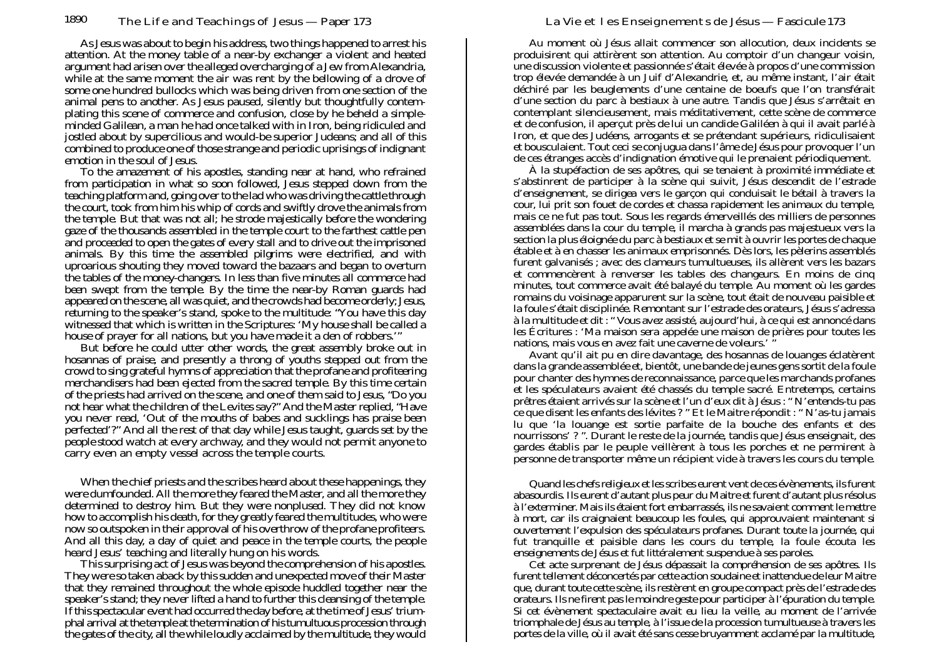As Jesus was about to begin his address, two things happened to arrest his attention. At the money table of a near-by exchanger a violent and heated argument had arisen over the alleged overcharging of a Jew from Alexandria, while at the same moment the air was rent by the bellowing of a drove of some one hundred bullocks which was being driven from one section of the animal pens to another. As Jesus paused, silently but thoughtfully contemplating this scene of commerce and confusion, close by he beheld a simpleminded Galilean, a man he had once talked with in Iron, being ridiculed and jostled about by supercilious and would-be superior Judeans; and all of this combined to produce one of those strange and periodic uprisings of indignant emotion in the soul of Jesus.

To the amazement of his apostles, standing near at hand, who refrained from participation in what so soon followed, Jesus stepped down from the teaching platform and, going over to the lad who was driving the cattle through the court, took from him his whip of cords and swiftly drove the animals from the temple. But that was not all; he strode majestically before the wondering gaze of the thousands assembled in the temple court to the farthest cattle pen and proceeded to open the gates of every stall and to drive out the imprisoned animals. By this time the assembled pilgrims were electrified, and with uproarious shouting they moved toward the bazaars and began to overturn the tables of the money-changers. In less than five minutes all commerce had been swept from the temple. By the time the near-by Roman guards had appeared on the scene, all was quiet, and the crowds had become orderly; Jesus, returning to the speaker's stand, spoke to the multitude: "You have this day witnessed that which is written in the Scriptures: 'My house shall be called a house of prayer for all nations, but you have made it a den of robbers.'"

But before he could utter other words, the great assembly broke out in hosannas of praise, and presently a throng of youths stepped out from the crowd to sing grateful hymns of appreciation that the profane and profiteering merchandisers had been ejected from the sacred temple. By this time certain of the priests had arrived on the scene, and one of them said to Jesus, "Do you not hear what the children of the Levites say?" And the Master replied, "Have you never read, 'Out of the mouths of babes and sucklings has praise been perfected'?" And all the rest of that day while Jesus taught, guards set by the people stood watch at every archway, and they would not permit anyone to carry even an empty vessel across the temple courts.

When the chief priests and the scribes heard about these happenings, they were dumfounded. All the more they feared the Master, and all the more they determined to destroy him. But they were nonplused. They did not know how to accomplish his death, for they greatly feared the multitudes, who were now so outspoken in their approval of his overthrow of the profane profiteers. And all this day, a day of quiet and peace in the temple courts, the people heard Jesus' teaching and literally hung on his words.

This surprising act of Jesus was beyond the comprehension of his apostles. They were so taken aback by this sudden and unexpected move of their Master that they remained throughout the whole episode huddled together near the speaker's stand; they never lifted a hand to further this cleansing of the temple. If this spectacular event had occurred the day before, at the time of Jesus' triumphal arrival at the temple at the termination of his tumultuous procession through the gates of the city, all the while loudly acclaimed by the multitude, they would

Au moment où Jésus allait commencer son allocution, deux incidents se produisirent qui attirèrent son attention. Au comptoir d'un changeur voisin, une discussion violente et passionnée s'était élevée à propos d'une commission trop élevée demandée à un Juif d'Alexandrie, et, au même instant, l'air était déchiré par les beuglements d'une centaine de boeufs que l'on transférait d'une section du parc à bestiaux à une autre. Tandis que Jésus s'arrêtait en contemplant silencieusement, mais méditativement, cette scène de commerce et de confusion, il aperçut près de lui un candide Galiléen à qui il avait parlé à Iron, et que des Judéens, arrogants et se prétendant supérieurs, ridiculisaient et bousculaient. Tout ceci se conjugua dans l'âme de Jésus pour provoquer l'un

de ces étranges accès d'indignation émotive qui le prenaient périodiquement. À la stupéfaction de ses apôtres, qui se tenaient à proximité immédiate et <sup>s</sup>'abstinrent de participer à la scène qui suivit, Jésus descendit de l'estrade d'enseignement, se dirigea vers le garçon qui conduisait le bétail à travers la cour, lui prit son fouet de cordes et chassa rapidement les animaux du temple, mais ce ne fut pas tout. Sous les regards émerveillés des milliers de personnes assemblées dans la cour du temple, il marcha à grands pas majestueux vers la section la plus éloignée du parc à bestiaux et se mit à ouvrir les portes de chaque étable et à en chasser les animaux emprisonnés. Dès lors, les pèlerins assemblés furent galvanisés ; avec des clameurs tumultueuses, ils allèrent vers les bazars et commencèrent à renverser les tables des changeurs. En moins de cinq minutes, tout commerce avait été balayé du temple. Au moment où les gardes romains du voisinage apparurent sur la scène, tout était de nouveau paisible et la foule s'était disciplinée. Remontant sur l'estrade des orateurs, Jésus s'adressa à la multitude et dit : " Vous avez assisté, aujourd'hui, à ce qui est annoncé dans les Écritures : 'Ma maison sera appelée une maison de prières pour toutes les nations, mais vous en avez fait une caverne de voleurs.' "

Avant qu'il ait pu en dire davantage, des hosannas de louanges éclatèrent dans la grande assemblée et, bientôt, une bande de jeunes gens sortit de la foule pour chanter des hymnes de reconnaissance, parce que les marchands profanes et les spéculateurs avaient été chassés du temple sacré. Entretemps, certains prêtres étaient arrivés sur la scène et l'un d'eux dit à Jésus : " N'entends-tu pas ce que disent les enfants des lévites ? " Et le Maitre répondit : " N'as-tu jamais lu que 'la louange est sortie parfaite de la bouche des enfants et des nourrissons' ? ". Durant le reste de la journée, tandis que Jésus enseignait, des gardes établis par le peuple veillèrent à tous les porches et ne permirent à personne de transporter même un récipient vide à travers les cours du temple.

Quand les chefs religieux et les scribes eurent vent de ces évènements, ils furent abasourdis. Ils eurent d'autant plus peur du Maitre et furent d'autant plus résolus à l'exterminer. Mais ils étaient fort embarrassés, ils ne savaient comment le mettre à mort, car ils craignaient beaucoup les foules, qui approuvaient maintenant si ouvertement l'expulsion des spéculateurs profanes. Durant toute la journée, qui fut tranquille et paisible dans les cours du temple, la foule écouta les enseignements de Jésus et fut littéralement suspendue à ses paroles.

Cet acte surprenant de Jésus dépassait la compréhension de ses apôtres. Ils furent tellement déconcertés par cette action soudaine et inattendue de leur Maitre que, durant toute cette scène, ils restèrent en groupe compact près de l'estrade des orateurs. Ils ne firent pas le moindre geste pour participer à l'épuration du temple. Si cet évènement spectaculaire avait eu lieu la veille, au moment de l'arrivée triomphale de Jésus au temple, à l'issue de la procession tumultueuse à travers les portes de la ville, où il avait été sans cesse bruyamment acclamé par la multitude,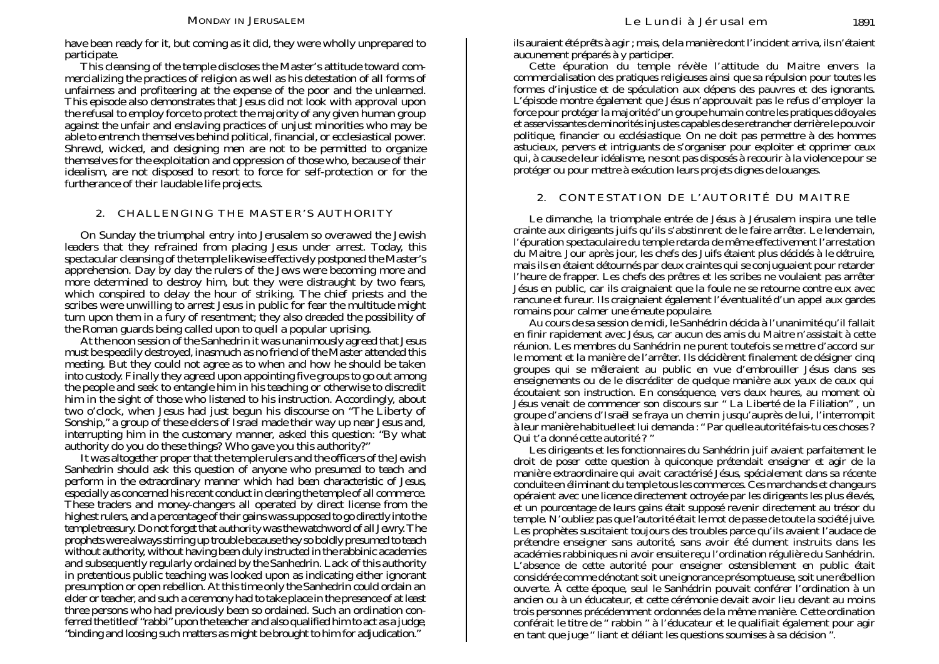have been ready for it, but coming as it did, they were wholly unprepared to participate.

This cleansing of the temple discloses the Master's attitude toward commercializing the practices of religion as well as his detestation of all forms of unfairness and profiteering at the expense of the poor and the unlearned. This episode also demonstrates that Jesus did not look with approval upon the refusal to employ force to protect the majority of any given human group against the unfair and enslaving practices of unjust minorities who may be able to entrench themselves behind political, financial, or ecclesiastical power. Shrewd, wicked, and designing men are not to be permitted to organize themselves for the exploitation and oppression of those who, because of their idealism, are not disposed to resort to force for self-protection or for the furtherance of their laudable life projects.

#### 2. CHALLENGING THE MASTER'S AUTHORITY

On Sunday the triumphal entry into Jerusalem so overawed the Jewish leaders that they refrained from placing Jesus under arrest. Today, this spectacular cleansing of the temple likewise effectively postponed the Master's apprehension. Day by day the rulers of the Jews were becoming more and more determined to destroy him, but they were distraught by two fears, which conspired to delay the hour of striking. The chief priests and the scribes were unwilling to arrest Jesus in public for fear the multitude might turn upon them in a fury of resentment; they also dreaded the possibility of the Roman guards being called upon to quell a popular uprising.

At the noon session of the Sanhedrin it was unanimously agreed that Jesus must be speedily destroyed, inasmuch as no friend of the Master attended this meeting. But they could not agree as to when and how he should be taken into custody. Finally they agreed upon appointing five groups to go out among the people and seek to entangle him in his teaching or otherwise to discredit him in the sight of those who listened to his instruction. Accordingly, about two o'clock, when Jesus had just begun his discourse on "The Liberty of Sonship," a group of these elders of Israel made their way up near Jesus and, interrupting him in the customary manner, asked this question: "By what authority do you do these things? Who gave you this authority?"

It was altogether proper that the temple rulers and the officers of the Jewish Sanhedrin should ask this question of anyone who presumed to teach and perform in the extraordinary manner which had been characteristic of Jesus, especially as concerned his recent conduct in clearing the temple of all commerce. These traders and money-changers all operated by direct license from the highest rulers, and a percentage of their gains was supposed to go directly into the temple treasury. Do not forget that *authority*was the watchword of all Jewry. The prophets were always stirring up trouble because they so boldly presumed to teach without authority, without having been duly instructed in the rabbinic academies and subsequently regularly ordained by the Sanhedrin. Lack of this authority in pretentious public teaching was looked upon as indicating either ignorant presumption or open rebellion. At this time only the Sanhedrin could ordain an elder or teacher, and such a ceremony had to take place in the presence of at least three persons who had previously been so ordained. Such an ordination conferred the title of "rabbi" upon the teacher and also qualified him to act as a judge, "binding and loosing such matters as might be brought to him for adjudication."

ils auraient été prêts à agir ; mais, de la manière dont l'incident arriva, ils n'étaient aucunement préparés à y participer.

Cette épuration du temple révèle l'attitude du Maitre envers la commercialisation des pratiques religieuses ainsi que sa répulsion pour toutes les formes d'injustice et de spéculation aux dépens des pauvres et des ignorants. L'épisode montre également que Jésus n'approuvait pas le refus d'employer la force pour protéger la majorité d'un groupe humain contre les pratiques déloyales et asservissantes de minorités injustes capables de se retrancher derrière le pouvoir politique, financier ou ecclésiastique. On ne doit pas permettre à des hommes astucieux, pervers et intriguants de s'organiser pour exploiter et opprimer ceux qui, à cause de leur idéalisme, ne sont pas disposés à recourir à la violence pour se protéger ou pour mettre à exécution leurs projets dignes de louanges.

#### 2. CONTESTATION DE L'AUTORITÉ DU MAITRE

Le dimanche, la triomphale entrée de Jésus à Jérusalem inspira une telle crainte aux dirigeants juifs qu'ils s'abstinrent de le faire arrêter. Le lendemain, l'épuration spectaculaire du temple retarda de même effectivement l'arrestation du Maitre. Jour après jour, les chefs des Juifs étaient plus décidés à le détruire, mais ils en étaient détournés par deux craintes qui se conjuguaient pour retarder l'heure de frapper. Les chefs des prêtres et les scribes ne voulaient pas arrêter Jésus en public, car ils craignaient que la foule ne se retourne contre eux avec rancune et fureur. Ils craignaient également l'éventualité d'un appel aux gardes romains pour calmer une émeute populaire.

Au cours de sa session de midi, le Sanhédrin décida à l'unanimité qu'il fallait en finir rapidement avec Jésus, car aucun des amis du Maitre n'assistait à cette réunion. Les membres du Sanhédrin ne purent toutefois se mettre d'accord sur le moment et la manière de l'arrêter. Ils décidèrent finalement de désigner cinq groupes qui se mêleraient au public en vue d'embrouiller Jésus dans ses enseignements ou de le discréditer de quelque manière aux yeux de ceux qui écoutaient son instruction. En conséquence, vers deux heures, au moment où Jésus venait de commencer son discours sur " La Liberté de la Filiation" , un groupe d'anciens d'Israël se fraya un chemin jusqu'auprès de lui, l'interrompit à leur manière habituelle et lui demanda : " Par quelle autorité fais-tu ces choses ? Qui t'a donné cette autorité ? "

Les dirigeants et les fonctionnaires du Sanhédrin juif avaient parfaitement le droit de poser cette question à quiconque prétendait enseigner et agir de la manière extraordinaire qui avait caractérisé Jésus, spécialement dans sa récente conduite en éliminant du temple tous les commerces. Ces marchands et changeurs opéraient avec une licence directement octroyée par les dirigeants les plus élevés, et un pourcentage de leurs gains était supposé revenir directement au trésor du temple. N'oubliez pas que l*'autorit*é était le mot de passe de toute la société juive. Les prophètes suscitaient toujours des troubles parce qu'ils avaient l'audace de prétendre enseigner sans autorité, sans avoir été dument instruits dans les académies rabbiniques ni avoir ensuite reçu l'ordination régulière du Sanhédrin. L'absence de cette autorité pour enseigner ostensiblement en public était considérée comme dénotant soit une ignorance présomptueuse, soit une rébellion ouverte. À cette époque, seul le Sanhédrin pouvait conférer l'ordination à un ancien ou à un éducateur, et cette cérémonie devait avoir lieu devant au moins trois personnes précédemment ordonnées de la même manière. Cette ordination conférait le titre de " rabbin " à l'éducateur et le qualifiait également pour agir en tant que juge " liant et déliant les questions soumises à sa décision ".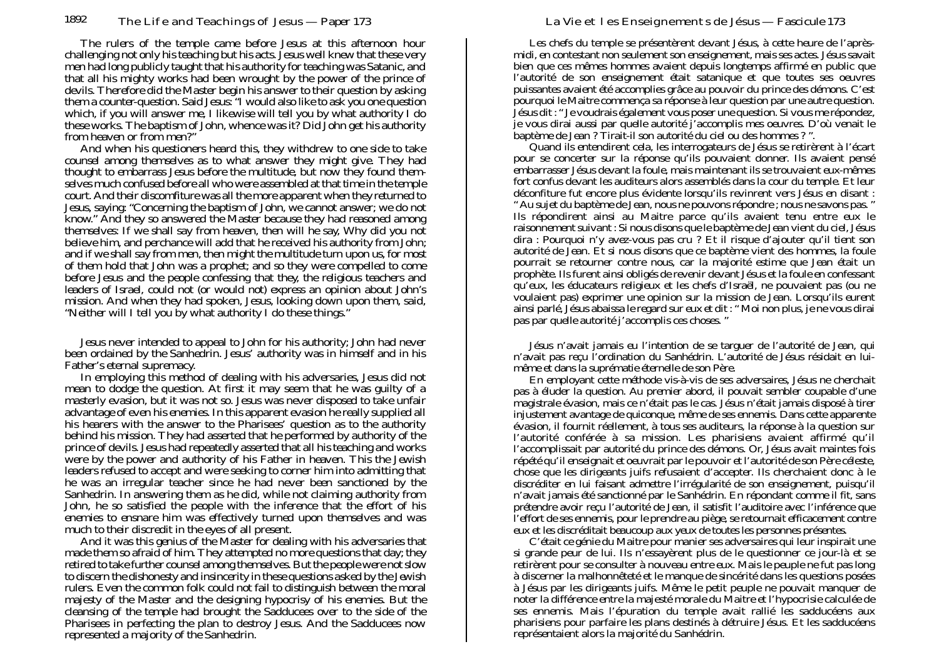The rulers of the temple came before Jesus at this afternoon hour challenging not only his teaching but his acts. Jesus well knew that these very men had long publicly taught that his authority for teaching was Satanic, and that all his mighty works had been wrought by the power of the prince of devils. Therefore did the Master begin his answer to their question by asking them a counter-question. Said Jesus: "I would also like to ask you one question which, if you will answer me, I likewise will tell you by what authority I do these works. The baptism of John, whence was it? Did John get his authority from heaven or from men?"

And when his questioners heard this, they withdrew to one side to take counsel among themselves as to what answer they might give. They had thought to embarrass Jesus before the multitude, but now they found themselves much confused before all who were assembled at that time in the temple court. And their discomfiture was all the more apparent when they returned to Jesus, saying: "Concerning the baptism of John, we cannot answer; we do not know." And they so answered the Master because they had reasoned among themselves: If we shall say from heaven, then will he say, Why did you not believe him, and perchance will add that he received his authority from John; and if we shall say from men, then might the multitude turn upon us, for most of them hold that John was a prophet; and so they were compelled to come leaders of Israel, could not (or would not) express an opinion about John's mission. And when they had spoken, Jesus, looking down upon them, said, "Neither will I tell you by what authority I do these things."

Jesus never intended to appeal to John for his authority; John had never been ordained by the Sanhedrin. Jesus' authority was in himself and in his Father's eternal supremacy.

In employing this method of dealing with his adversaries, Jesus did not mean to dodge the question. At first it may seem that he was guilty of a masterly evasion, but it was not so. Jesus was never disposed to take unfair advantage of even his enemies. In this apparent evasion he really supplied all his hearers with the answer to the Pharisees' question as to the authority behind his mission. They had asserted that he performed by authority of the prince of devils. Jesus had repeatedly asserted that all his teaching and works were by the power and authority of his Father in heaven. This the Jewish leaders refused to accept and were seeking to corner him into admitting that he was an irregular teacher since he had never been sanctioned by the Sanhedrin. In answering them as he did, while not claiming authority from John, he so satisfied the people with the inference that the effort of his enemies to ensnare him was effectively turned upon themselves and was much to their discredit in the eyes of all present.

And it was this genius of the Master for dealing with his adversaries that made them so afraid of him. They attempted no more questions that day; they retired to take further counsel among themselves. But the people were not slow to discern the dishonesty and insincerity in these questions asked by the Jewish rulers. Even the common folk could not fail to distinguish between the moral majesty of the Master and the designing hypocrisy of his enemies. But the cleansing of the temple had brought the Sadducees over to the side of the Pharisees in perfecting the plan to destroy Jesus. And the Sadducees now represented a majority of the Sanhedrin.

Les chefs du temple se présentèrent devant Jésus, à cette heure de l'aprèsmidi, en contestant non seulement son enseignement, mais ses actes. Jésus savait bien que ces mêmes hommes avaient depuis longtemps affirmé en public que l'autorité de son enseignement était satanique et que toutes ses oeuvres puissantes avaient été accomplies grâce au pouvoir du prince des démons. C'est pourquoi le Maitre commença sa réponse à leur question par une autre question. Jésus dit : " Je voudrais également vous poser une question. Si vous me répondez, je vous dirai aussi par quelle autorité j'accomplis mes oeuvres. D'où venait le baptème de Jean ? Tirait-il son autorité du ciel ou des hommes ? ".

Quand ils entendirent cela, les interrogateurs de Jésus se retirèrent à l'écart pour se concerter sur la réponse qu'ils pouvaient donner. Ils avaient pensé embarrasser Jésus devant la foule, mais maintenant ils se trouvaient eux-mêmes fort confus devant les auditeurs alors assemblés dans la cour du temple. Et leur déconfiture fut encore plus évidente lorsqu'ils revinrent vers Jésus en disant : " Au sujet du baptème de Jean, nous ne pouvons répondre ; nous ne savons pas. " Ils répondirent ainsi au Maitre parce qu'ils avaient tenu entre eux le raisonnement suivant : Si nous disons que le baptème de Jean vient du ciel, Jésus dira : Pourquoi n'y avez-vous pas cru ? Et il risque d'ajouter qu'il tient son autorité de Jean. Et si nous disons que ce baptème vient des hommes, la foule pourrait se retourner contre nous, car la majorité estime que Jean était un prophète. Ils furent ainsi obligés de revenir devant Jésus et la foule en confessant qu'eux, les éducateurs religieux et les chefs d'Israël, ne pouvaient pas (ou ne voulaient pas) exprimer une opinion sur la mission de Jean. Lorsqu'ils eurent ainsi parlé, Jésus abaissa le regard sur eux et dit : " Moi non plus, je ne vous dirai pas par quelle autorité j'accomplis ces choses. "

Jésus n'avait jamais eu l'intention de se targuer de l'autorité de Jean, qui n'avait pas reçu l'ordination du Sanhédrin. L'autorité de Jésus résidait en luimême et dans la suprématie éternelle de son Père.

En employant cette méthode vis-à-vis de ses adversaires, Jésus ne cherchait pas à éluder la question. Au premier abord, il pouvait sembler coupable d'une magistrale évasion, mais ce n'était pas le cas. Jésus n'était jamais disposé à tirer injustement avantage de quiconque, même de ses ennemis. Dans cette apparente évasion, il fournit réellement, à tous ses auditeurs, la réponse à la question sur l'autorité conférée à sa mission. Les pharisiens avaient affirmé qu'il l'accomplissait par autorité du prince des démons. Or, Jésus avait maintes fois répété qu'il enseignait et oeuvrait par le pouvoir et l'autorité de son Père céleste, chose que les dirigeants juifs refusaient d'accepter. Ils cherchaient donc à le discréditer en lui faisant admettre l'irrégularité de son enseignement, puisqu'il <sup>n</sup>'avait jamais été sanctionné par le Sanhédrin. En répondant comme il fit, sans prétendre avoir reçu l'autorité de Jean, il satisfit l'auditoire avec l'inférence que l'effort de ses ennemis, pour le prendre au piège, se retournait efficacement contre eux et les discréditait beaucoup aux yeux de toutes les personnes présentes.

C'était ce génie du Maitre pour manier ses adversaires qui leur inspirait une si grande peur de lui. Ils n'essayèrent plus de le questionner ce jour-là et se retirèrent pour se consulter à nouveau entre eux. Mais le peuple ne fut pas long à discerner la malhonnêteté et le manque de sincérité dans les questions posées à Jésus par les dirigeants juifs. Même le petit peuple ne pouvait manquer de noter la différence entre la majesté morale du Maitre et l'hypocrisie calculée de ses ennemis. Mais l'épuration du temple avait rallié les sadducéens aux pharisiens pour parfaire les plans destinés à détruire Jésus. Et les sadducéens représentaient alors la majorité du Sanhédrin.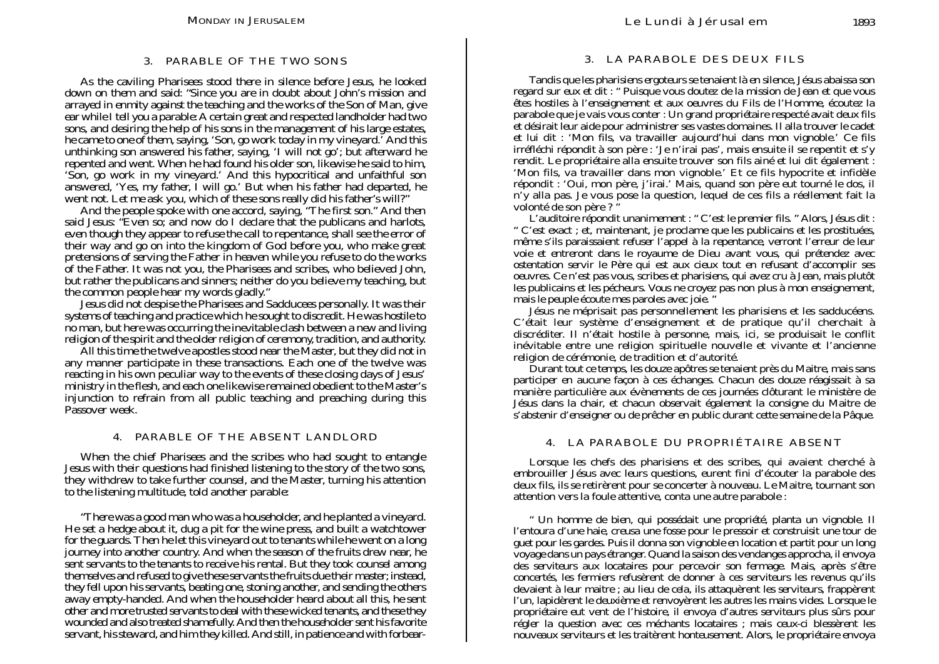### 3. PARABLE OF THE TWO SONS

As the caviling Pharisees stood there in silence before Jesus, he looked down on them and said: "Since you are in doubt about John's mission and arrayed in enmity against the teaching and the works of the Son of Man, give ear while I tell you a parable: A certain great and respected landholder had two sons, and desiring the help of his sons in the management of his large estates, he came to one of them, saying, 'Son, go work today in my vineyard.' And this unthinking son answered his father, saying, 'I will not go'; but afterward he repented and went. When he had found his older son, likewise he said to him, 'Son, go work in my vineyard.' And this hypocritical and unfaithful son answered, 'Yes, my father, I will go.' But when his father had departed, he went not. Let me ask you, which of these sons really did his father's will?"

And the people spoke with one accord, saying, "The first son." And then said Jesus: "Even so; and now do I declare that the publicans and harlots, even though they appear to refuse the call to repentance, shall see the error of their way and go on into the kingdom of God before you, who make great pretensions of serving the Father in heaven while you refuse to do the works of the Father. It was not you, the Pharisees and scribes, who believed John, but rather the publicans and sinners; neither do you believe my teaching, but the common people hear my words gladly."

Jesus did not despise the Pharisees and Sadducees personally. It was their systems of teaching and practice which he sought to discredit. He was hostile to no man, but here was occurring the inevitable clash between a new and living religion of the spirit and the older religion of ceremony, tradition, and authority.

All this time the twelve apostles stood near the Master, but they did not in any manner participate in these transactions. Each one of the twelve was reacting in his own peculiar way to the events of these closing days of Jesus' ministry in the flesh, and each one likewise remained obedient to the Master's injunction to refrain from all public teaching and preaching during this Passover week.

### 4. PARABLE OF THE ABSENT LANDLORD

When the chief Pharisees and the scribes who had sought to entangle Jesus with their questions had finished listening to the story of the two sons, they withdrew to take further counsel, and the Master, turning his attention to the listening multitude, told another parable:

"There was a good man who was a householder, and he planted a vineyard. He set a hedge about it, dug a pit for the wine press, and built a watchtower for the guards. Then he let this vineyard out to tenants while he went on a long journey into another country. And when the season of the fruits drew near, he sent servants to the tenants to receive his rental. But they took counsel among themselves and refused to give these servants the fruits due their master; instead, they fell upon his servants, beating one, stoning another, and sending the others away empty-handed. And when the householder heard about all this, he sent other and more trusted servants to deal with these wicked tenants, and these they wounded and also treated shamefully. And then the householder sent his favorite servant, his steward, and him they killed. And still, in patience and with forbear-

#### 3. LA PARABOLE DES DEUX FILS

Tandis que les pharisiens ergoteurs se tenaient là en silence, Jésus abaissa son regard sur eux et dit : " Puisque vous doutez de la mission de Jean et que vous êtes hostiles à l'enseignement et aux oeuvres du Fils de l'Homme, écoutez la parabole que je vais vous conter : Un grand propriétaire respecté avait deux fils et désirait leur aide pour administrer ses vastes domaines. Il alla trouver le cadet et lui dit : 'Mon fils, va travailler aujourd'hui dans mon vignoble.' Ce fils irréfléchi répondit à son père : 'Je n'irai pas', mais ensuite il se repentit et s'y rendit. Le propriétaire alla ensuite trouver son fils ainé et lui dit également : 'Mon fils, va travailler dans mon vignoble.' Et ce fils hypocrite et infidèle répondit : 'Oui, mon père, j'irai.' Mais, quand son père eut tourné le dos, il <sup>n</sup>'y alla pas. Je vous pose la question, lequel de ces fils a réellement fait la volonté de son père ? "

L'auditoire répondit unanimement : " C'est le premier fils. " Alors, Jésus dit : " C'est exact ; et, maintenant, je proclame que les publicains et les prostituées, même s'ils paraissaient refuser l'appel à la repentance, verront l'erreur de leur voie et entreront dans le royaume de Dieu avant vous, qui prétendez avec ostentation servir le Père qui est aux cieux tout en refusant d'accomplir ses oeuvres. Ce n'est pas vous, scribes et pharisiens, qui avez cru à Jean, mais plutôt les publicains et les pécheurs. Vous ne croyez pas non plus à mon enseignement, mais le peuple écoute mes paroles avec joie. "

Jésus ne méprisait pas personnellement les pharisiens et les sadducéens. C'était leur système d'enseignement et de pratique qu'il cherchait à discréditer. Il n'était hostile à personne, mais, ici, se produisait le conflit inévitable entre une religion spirituelle nouvelle et vivante et l'ancienne religion de cérémonie, de tradition et d'autorité.

Durant tout ce temps, les douze apôtres se tenaient près du Maitre, mais sans participer en aucune façon à ces échanges. Chacun des douze réagissait à sa manière particulière aux évènements de ces journées clôturant le ministère de Jésus dans la chair, et chacun observait également la consigne du Maitre de <sup>s</sup>'abstenir d'enseigner ou de prêcher en public durant cette semaine de la Pâque.

#### 4. LA PARABOLE DU PROPRIÉTAIRE ABSENT

Lorsque les chefs des pharisiens et des scribes, qui avaient cherché à embrouiller Jésus avec leurs questions, eurent fini d'écouter la parabole des deux fils, ils se retirèrent pour se concerter à nouveau. Le Maitre, tournant son attention vers la foule attentive, conta une autre parabole :

" Un homme de bien, qui possédait une propriété, planta un vignoble. Il l'entoura d'une haie, creusa une fosse pour le pressoir et construisit une tour de guet pour les gardes. Puis il donna son vignoble en location et partit pour un long voyage dans un pays étranger. Quand la saison des vendanges approcha, il envoya des serviteurs aux locataires pour percevoir son fermage. Mais, après s'être concertés, les fermiers refusèrent de donner à ces serviteurs les revenus qu'ils devaient à leur maitre ; au lieu de cela, ils attaquèrent les serviteurs, frappèrent l'un, lapidèrent le deuxième et renvoyèrent les autres les mains vides. Lorsque le propriétaire eut vent de l'histoire, il envoya d'autres serviteurs plus sûrs pour régler la question avec ces méchants locataires ; mais ceux-ci blessèrent les nouveaux serviteurs et les traitèrent honteusement. Alors, le propriétaire envoya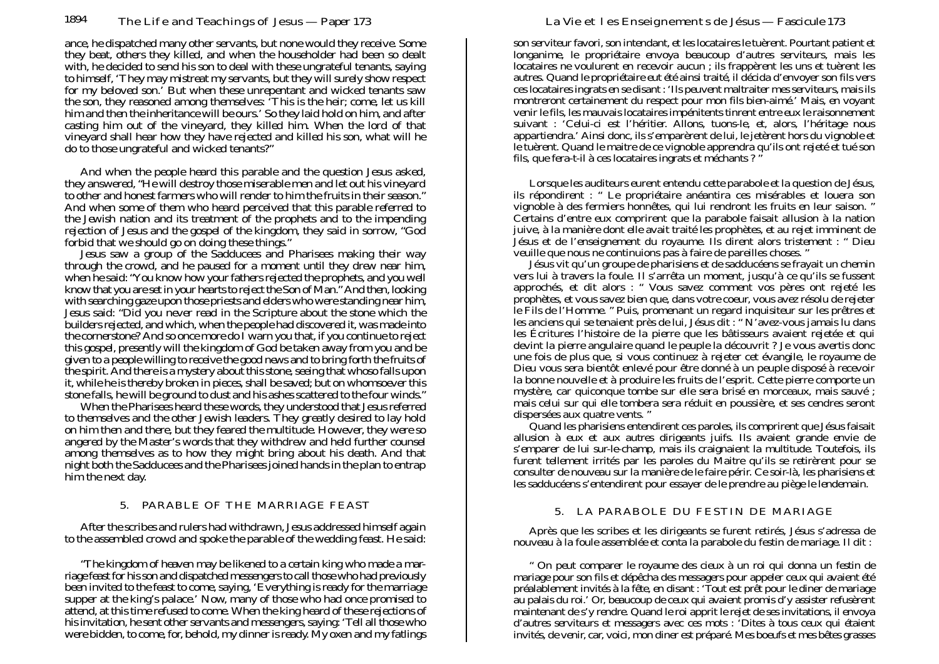ance, he dispatched many other servants, but none would they receive. Some they beat, others they killed, and when the householder had been so dealt with, he decided to send his son to deal with these ungrateful tenants, saying to himself, 'They may mistreat my servants, but they will surely show respect for my beloved son.' But when these unrepentant and wicked tenants saw the son, they reasoned among themselves: 'This is the heir; come, let us kill him and then the inheritance will be ours.' So they laid hold on him, and after casting him out of the vineyard, they killed him. When the lord of that vineyard shall hear how they have rejected and killed his son, what will he do to those ungrateful and wicked tenants?"

And when the people heard this parable and the question Jesus asked, they answered, "He will destroy those miserable men and let out his vineyard to other and honest farmers who will render to him the fruits in their season." And when some of them who heard perceived that this parable referred to the Jewish nation and its treatment of the prophets and to the impending rejection of Jesus and the gospel of the kingdom, they said in sorrow, "God forbid that we should go on doing these things."

Jesus saw a group of the Sadducees and Pharisees making their way through the crowd, and he paused for a moment until they drew near him, when he said: "You know how your fathers rejected the prophets, and you well know that you are set in your hearts to reject the Son of Man." And then, looking with searching gaze upon those priests and elders who were standing near him, Jesus said: "Did you never read in the Scripture about the stone which the builders rejected, and which, when the people had discovered it, was made into the cornerstone? And so once more do I warn you that, if you continue to reject this gospel, presently will the kingdom of God be taken away from you and be given to a people willing to receive the good news and to bring forth the fruits of the spirit. And there is a mystery about this stone, seeing that whoso falls upon it, while he is thereby broken in pieces, shall be saved; but on whomsoever this stone falls, he will be ground to dust and his ashes scattered to the four winds."

When the Pharisees heard these words, they understood that Jesus referred to themselves and the other Jewish leaders. They greatly desired to lay hold on him then and there, but they feared the multitude. However, they were so angered by the Master's words that they withdrew and held further counsel among themselves as to how they might bring about his death. And that night both the Sadducees and the Pharisees joined hands in the plan to entrap him the next day.

### 5. PARABLE OF THE MARRIAGE FEAST

After the scribes and rulers had withdrawn, Jesus addressed himself again to the assembled crowd and spoke the parable of the wedding feast. He said: son serviteur favori, son intendant, et les locataires le tuèrent. Pourtant patient et longanime, le propriétaire envoya beaucoup d'autres serviteurs, mais les locataires ne voulurent en recevoir aucun ; ils frappèrent les uns et tuèrent les autres. Quand le propriétaire eut été ainsi traité, il décida d'envoyer son fils vers ces locataires ingrats en se disant : 'Ils peuvent maltraiter mes serviteurs, mais ils montreront certainement du respect pour mon fils bien-aimé.' Mais, en voyant venir le fils, les mauvais locataires impénitents tinrent entre eux le raisonnement suivant : 'Celui-ci est l'héritier. Allons, tuons-le, et, alors, l'héritage nous appartiendra.' Ainsi donc, ils s'emparèrent de lui, le jetèrent hors du vignoble et le tuèrent. Quand le maitre de ce vignoble apprendra qu'ils ont rejeté et tué son fils, que fera-t-il à ces locataires ingrats et méchants ? "

Lorsque les auditeurs eurent entendu cette parabole et la question de Jésus, ils répondirent : " Le propriétaire anéantira ces misérables et louera son vignoble à des fermiers honnêtes, qui lui rendront les fruits en leur saison. " Certains d'entre eux comprirent que la parabole faisait allusion à la nation juive, à la manière dont elle avait traité les prophètes, et au rejet imminent de Jésus et de l'enseignement du royaume. Ils dirent alors tristement : " Dieu veuille que nous ne continuions pas à faire de pareilles choses. "

Jésus vit qu'un groupe de pharisiens et de sadducéens se frayait un chemin vers lui à travers la foule. Il s'arrêta un moment, jusqu'à ce qu'ils se fussent approchés, et dit alors : " Vous savez comment vos pères ont rejeté les prophètes, et vous savez bien que, dans votre coeur, vous avez résolu de rejeter le Fils de l'Homme. " Puis, promenant un regard inquisiteur sur les prêtres et les anciens qui se tenaient près de lui, Jésus dit : " N'avez-vous jamais lu dans les Écritures l'histoire de la pierre que les bâtisseurs avaient rejetée et qui devint la pierre angulaire quand le peuple la découvrit ? Je vous avertis donc une fois de plus que, si vous continuez à rejeter cet évangile, le royaume de Dieu vous sera bientôt enlevé pour être donné à un peuple disposé à recevoir la bonne nouvelle et à produire les fruits de l'esprit. Cette pierre comporte un mystère, car quiconque tombe sur elle sera brisé en morceaux, mais sauvé ; mais celui sur qui elle tombera sera réduit en poussière, et ses cendres seront dispersées aux quatre vents. "

Quand les pharisiens entendirent ces paroles, ils comprirent que Jésus faisait allusion à eux et aux autres dirigeants juifs. Ils avaient grande envie de <sup>s</sup>'emparer de lui sur-le-champ, mais ils craignaient la multitude. Toutefois, ils furent tellement irrités par les paroles du Maitre qu'ils se retirèrent pour se consulter de nouveau sur la manière de le faire périr. Ce soir-là, les pharisiens et les sadducéens s'entendirent pour essayer de le prendre au piège le lendemain.

#### 5. LA PARABOLE DU FESTIN DE MARIAGE

Après que les scribes et les dirigeants se furent retirés, Jésus s'adressa de nouveau à la foule assemblée et conta la parabole du festin de mariage. Il dit :

" On peut comparer le royaume des cieux à un roi qui donna un festin de mariage pour son fils et dépêcha des messagers pour appeler ceux qui avaient été préalablement invités à la fête, en disant : 'Tout est prêt pour le diner de mariage au palais du roi.' Or, beaucoup de ceux qui avaient promis d'y assister refusèrent maintenant de s'y rendre. Quand le roi apprit le rejet de ses invitations, il envoya d'autres serviteurs et messagers avec ces mots : 'Dites à tous ceux qui étaient invités, de venir, car, voici, mon diner est préparé. Mes boeufs et mes bêtes grasses

<sup>&</sup>quot;The kingdom of heaven may be likened to a certain king who made a marriage feast for his son and dispatched messengers to call those who had previously been invited to the feast to come, saying, 'Everything is ready for the marriage supper at the king's palace.' Now, many of those who had once promised to attend, at this time refused to come. When the king heard of these rejections of his invitation, he sent other servants and messengers, saying: 'Tell all those who were bidden, to come, for, behold, my dinner is ready. My oxen and my fatlings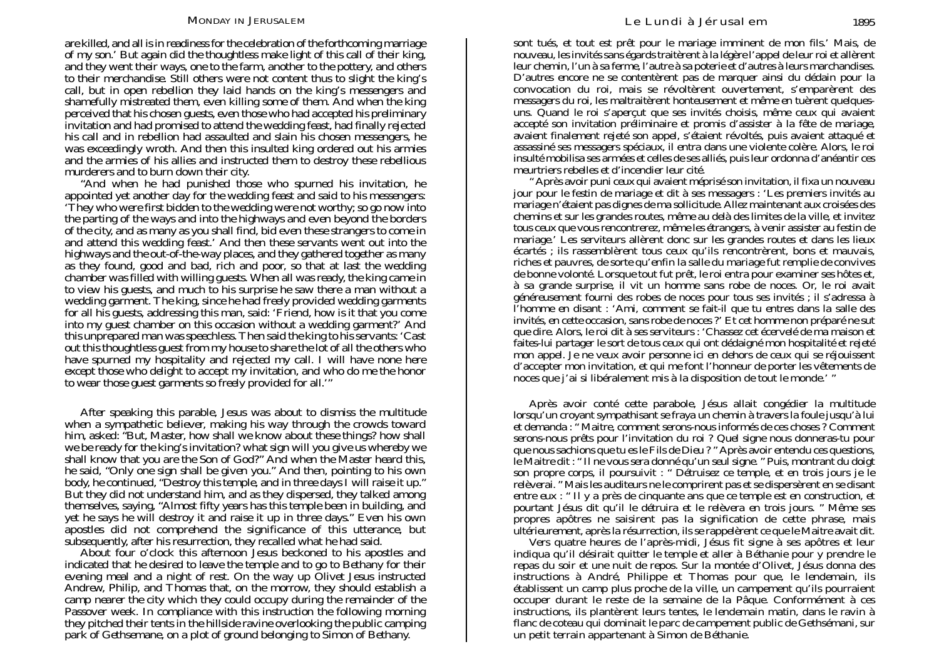are killed, and all is in readiness for the celebration of the forthcoming marriage of my son.' But again did the thoughtless make light of this call of their king, and they went their ways, one to the farm, another to the pottery, and others to their merchandise. Still others were not content thus to slight the king's call, but in open rebellion they laid hands on the king's messengers and shamefully mistreated them, even killing some of them. And when the king perceived that his chosen guests, even those who had accepted his preliminary invitation and had promised to attend the wedding feast, had finally rejected his call and in rebellion had assaulted and slain his chosen messengers, he was exceedingly wroth. And then this insulted king ordered out his armies and the armies of his allies and instructed them to destroy these rebellious murderers and to burn down their city.

"And when he had punished those who spurned his invitation, he appointed yet another day for the wedding feast and said to his messengers: 'They who were first bidden to the wedding were not worthy; so go now into the parting of the ways and into the highways and even beyond the borders of the city, and as many as you shall find, bid even these strangers to come in and attend this wedding feast.' And then these servants went out into the highways and the out-of-the-way places, and they gathered together as many as they found, good and bad, rich and poor, so that at last the wedding chamber was filled with willing guests. When all was ready, the king came in to view his guests, and much to his surprise he saw there a man without a wedding garment. The king, since he had freely provided wedding garments for all his guests, addressing this man, said: 'Friend, how is it that you come into my guest chamber on this occasion without a wedding garment?' And this unprepared man was speechless. Then said the king to his servants: 'Cast out this thoughtless guest from my house to share the lot of all the others who have spurned my hospitality and rejected my call. I will have none here except those who delight to accept my invitation, and who do me the honor to wear those guest garments so freely provided for all.'"

After speaking this parable, Jesus was about to dismiss the multitude when a sympathetic believer, making his way through the crowds toward him, asked: "But, Master, how shall we know about these things? how shall we be ready for the king's invitation? what sign will you give us whereby we shall know that you are the Son of God?" And when the Master heard this, he said, "Only one sign shall be given you." And then, pointing to his own body, he continued, "Destroy this temple, and in three days I will raise it up." But they did not understand him, and as they dispersed, they talked among themselves, saying, "Almost fifty years has this temple been in building, and yet he says he will destroy it and raise it up in three days." Even his own apostles did not comprehend the significance of this utterance, but subsequently, after his resurrection, they recalled what he had said.

About four o'clock this afternoon Jesus beckoned to his apostles and indicated that he desired to leave the temple and to go to Bethany for their evening meal and a night of rest. On the way up Olivet Jesus instructed Andrew, Philip, and Thomas that, on the morrow, they should establish a camp nearer the city which they could occupy during the remainder of the Passover week. In compliance with this instruction the following morning they pitched their tents in the hillside ravine overlooking the public camping park of Gethsemane, on a plot of ground belonging to Simon of Bethany.

sont tués, et tout est prêt pour le mariage imminent de mon fils.' Mais, de nouveau, les invités sans égards traitèrent à la légère l'appel de leur roi et allèrent leur chemin, l'un à sa ferme, l'autre à sa poterie et d'autres à leurs marchandises. D'autres encore ne se contentèrent pas de marquer ainsi du dédain pour la convocation du roi, mais se révoltèrent ouvertement, s'emparèrent des messagers du roi, les maltraitèrent honteusement et même en tuèrent quelquesuns. Quand le roi s'aperçut que ses invités choisis, même ceux qui avaient accepté son invitation préliminaire et promis d'assister à la fête de mariage, avaient finalement rejeté son appel, s'étaient révoltés, puis avaient attaqué et assassiné ses messagers spéciaux, il entra dans une violente colère. Alors, le roi insulté mobilisa ses armées et celles de ses alliés, puis leur ordonna d'anéantir ces meurtriers rebelles et d'incendier leur cité.

" Après avoir puni ceux qui avaient méprisé son invitation, il fixa un nouveau jour pour le festin de mariage et dit à ses messagers : 'Les premiers invités au mariage n'étaient pas dignes de ma sollicitude. Allez maintenant aux croisées des chemins et sur les grandes routes, même au delà des limites de la ville, et invitez tous ceux que vous rencontrerez, même les étrangers, à venir assister au festin de mariage.' Les serviteurs allèrent donc sur les grandes routes et dans les lieux écartés ; ils rassemblèrent tous ceux qu'ils rencontrèrent, bons et mauvais, riches et pauvres, de sorte qu'enfin la salle du mariage fut remplie de convives de bonne volonté. Lorsque tout fut prêt, le roi entra pour examiner ses hôtes et, à sa grande surprise, il vit un homme sans robe de noces. Or, le roi avait généreusement fourni des robes de noces pour tous ses invités ; il s'adressa à l'homme en disant : 'Ami, comment se fait-il que tu entres dans la salle des invités, en cette occasion, sans robe de noces ?' Et cet homme non préparé ne sut que dire. Alors, le roi dit à ses serviteurs : 'Chassez cet écervelé de ma maison et faites-lui partager le sort de tous ceux qui ont dédaigné mon hospitalité et rejeté mon appel. Je ne veux avoir personne ici en dehors de ceux qui se réjouissent d'accepter mon invitation, et qui me font l'honneur de porter les vêtements de noces que j'ai si libéralement mis à la disposition de tout le monde.' "

Après avoir conté cette parabole, Jésus allait congédier la multitude lorsqu'un croyant sympathisant se fraya un chemin à travers la foule jusqu'à lui et demanda : " Maitre, comment serons-nous informés de ces choses ? Comment serons-nous prêts pour l'invitation du roi ? Quel signe nous donneras-tu pour que nous sachions que tu es le Fils de Dieu ? " Après avoir entendu ces questions, le Maitre dit : " Il ne vous sera donné qu'un seul signe. " Puis, montrant du doigt son propre corps, il poursuivit : " Détruisez ce temple, et en trois jours je le relèverai. " Mais les auditeurs ne le comprirent pas et se dispersèrent en se disant entre eux : " Il y a près de cinquante ans que ce temple est en construction, et pourtant Jésus dit qu'il le détruira et le relèvera en trois jours. " Même ses propres apôtres ne saisirent pas la signification de cette phrase, mais ultérieurement, après la résurrection, ils se rappelèrent ce que le Maitre avait dit.

Vers quatre heures de l'après-midi, Jésus fit signe à ses apôtres et leur indiqua qu'il désirait quitter le temple et aller à Béthanie pour y prendre le repas du soir et une nuit de repos. Sur la montée d'Olivet, Jésus donna des instructions à André, Philippe et Thomas pour que, le lendemain, ils établissent un camp plus proche de la ville, un campement qu'ils pourraient occuper durant le reste de la semaine de la Pâque. Conformément à ces instructions, ils plantèrent leurs tentes, le lendemain matin, dans le ravin à flanc de coteau qui dominait le parc de campement public de Gethsémani, sur un petit terrain appartenant à Simon de Béthanie.